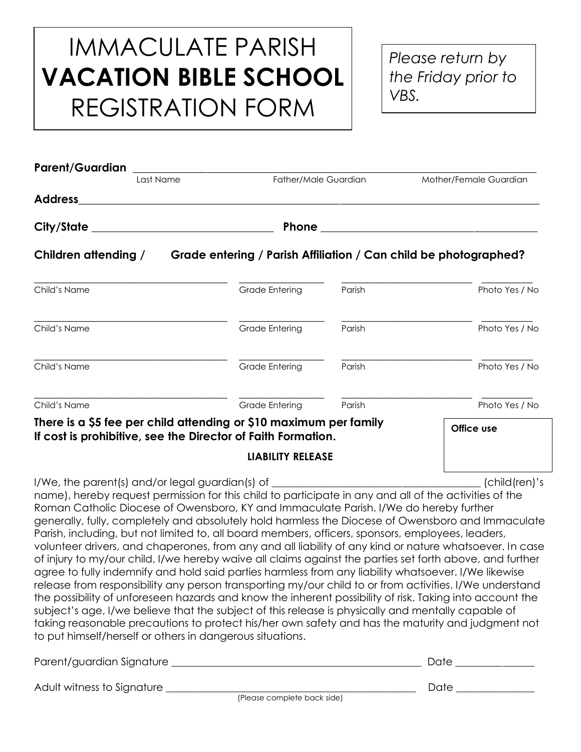## IMMACULATE PARISH **VACATION BIBLE SCHOOL** REGISTRATION FORM

*Please return by the Friday prior to VBS.*

|                                                                                                                                                                                                                                                                                                                                                                                                                                                                                                                                                                                                                                                                                                                                                                                                                                                                                                                                                                                                                                                                                                                                                                                                                                                                                                                             | Mother/Female Guardian |
|-----------------------------------------------------------------------------------------------------------------------------------------------------------------------------------------------------------------------------------------------------------------------------------------------------------------------------------------------------------------------------------------------------------------------------------------------------------------------------------------------------------------------------------------------------------------------------------------------------------------------------------------------------------------------------------------------------------------------------------------------------------------------------------------------------------------------------------------------------------------------------------------------------------------------------------------------------------------------------------------------------------------------------------------------------------------------------------------------------------------------------------------------------------------------------------------------------------------------------------------------------------------------------------------------------------------------------|------------------------|
| Father/Male Guardian<br>Last Name                                                                                                                                                                                                                                                                                                                                                                                                                                                                                                                                                                                                                                                                                                                                                                                                                                                                                                                                                                                                                                                                                                                                                                                                                                                                                           |                        |
|                                                                                                                                                                                                                                                                                                                                                                                                                                                                                                                                                                                                                                                                                                                                                                                                                                                                                                                                                                                                                                                                                                                                                                                                                                                                                                                             |                        |
| City/State ______________________________                                                                                                                                                                                                                                                                                                                                                                                                                                                                                                                                                                                                                                                                                                                                                                                                                                                                                                                                                                                                                                                                                                                                                                                                                                                                                   |                        |
| Children attending / Grade entering / Parish Affiliation / Can child be photographed?                                                                                                                                                                                                                                                                                                                                                                                                                                                                                                                                                                                                                                                                                                                                                                                                                                                                                                                                                                                                                                                                                                                                                                                                                                       |                        |
| Child's Name<br>Grade Entering<br>Parish                                                                                                                                                                                                                                                                                                                                                                                                                                                                                                                                                                                                                                                                                                                                                                                                                                                                                                                                                                                                                                                                                                                                                                                                                                                                                    | Photo Yes / No         |
| Child's Name<br><b>Grade Entering</b><br>Parish                                                                                                                                                                                                                                                                                                                                                                                                                                                                                                                                                                                                                                                                                                                                                                                                                                                                                                                                                                                                                                                                                                                                                                                                                                                                             | Photo Yes / No         |
| <b>Grade Entering</b><br>Child's Name<br>Parish                                                                                                                                                                                                                                                                                                                                                                                                                                                                                                                                                                                                                                                                                                                                                                                                                                                                                                                                                                                                                                                                                                                                                                                                                                                                             | Photo Yes / No         |
| Child's Name<br><b>Grade Entering</b><br>Parish                                                                                                                                                                                                                                                                                                                                                                                                                                                                                                                                                                                                                                                                                                                                                                                                                                                                                                                                                                                                                                                                                                                                                                                                                                                                             | Photo Yes / No         |
| There is a \$5 fee per child attending or \$10 maximum per family<br>If cost is prohibitive, see the Director of Faith Formation.                                                                                                                                                                                                                                                                                                                                                                                                                                                                                                                                                                                                                                                                                                                                                                                                                                                                                                                                                                                                                                                                                                                                                                                           | Office use             |
| <b>LIABILITY RELEASE</b>                                                                                                                                                                                                                                                                                                                                                                                                                                                                                                                                                                                                                                                                                                                                                                                                                                                                                                                                                                                                                                                                                                                                                                                                                                                                                                    |                        |
| I/We, the parent(s) and/or legal guardian(s) of ________________________________<br>name), hereby request permission for this child to participate in any and all of the activities of the<br>Roman Catholic Diocese of Owensboro, KY and Immaculate Parish. I/We do hereby further<br>generally, fully, completely and absolutely hold harmless the Diocese of Owensboro and Immaculate<br>Parish, including, but not limited to, all board members, officers, sponsors, employees, leaders,<br>volunteer drivers, and chaperones, from any and all liability of any kind or nature whatsoever. In case<br>of injury to my/our child, I/we hereby waive all claims against the parties set forth above, and further<br>agree to fully indemnify and hold said parties harmless from any liability whatsoever. I/We likewise<br>release from responsibility any person transporting my/our child to or from activities. I/We understand<br>the possibility of unforeseen hazards and know the inherent possibility of risk. Taking into account the<br>subject's age, I/we believe that the subject of this release is physically and mentally capable of<br>taking reasonable precautions to protect his/her own safety and has the maturity and judgment not<br>to put himself/herself or others in dangerous situations. | $[child$ (ren)'s       |
| Parent/guardian Signature ___                                                                                                                                                                                                                                                                                                                                                                                                                                                                                                                                                                                                                                                                                                                                                                                                                                                                                                                                                                                                                                                                                                                                                                                                                                                                                               | Date_                  |

Adult witness to Signature \_\_\_\_\_\_\_\_\_\_\_\_\_\_\_\_\_\_\_\_\_\_\_\_\_\_\_\_\_\_\_\_\_\_\_\_\_\_\_\_\_\_\_\_\_\_\_\_ Date \_\_\_\_\_\_\_\_\_\_\_\_\_\_\_

(Please complete back side)